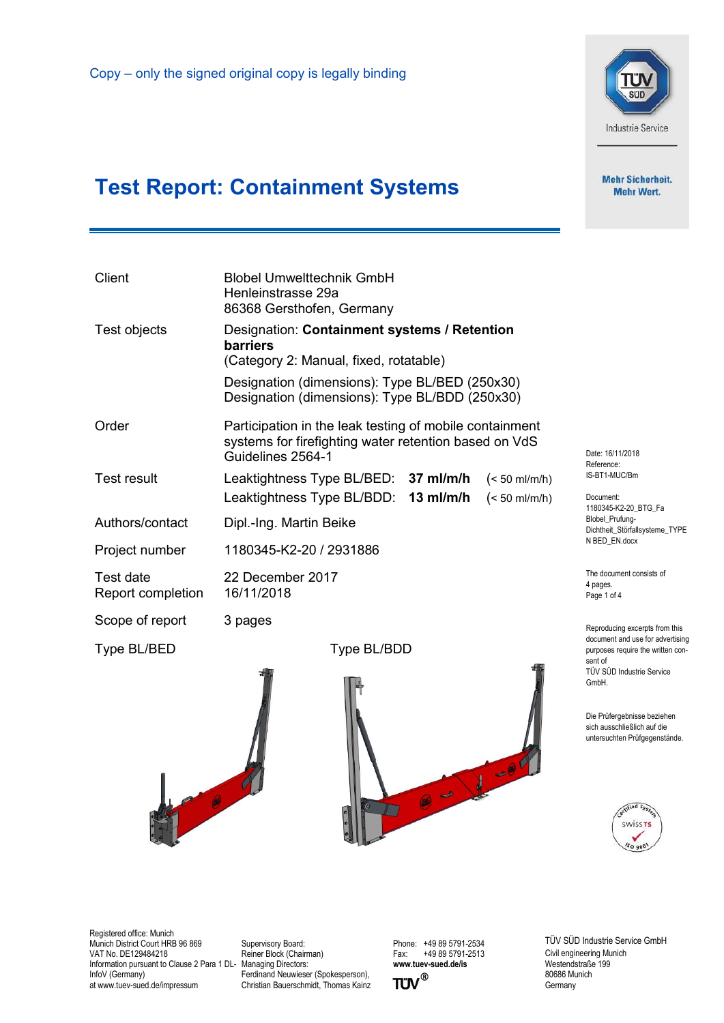

**Mehr Sicherheit. Mehr Wert.** 

## Test Report: Containment Systems

| <b>Blobel Umwelttechnik GmbH</b><br>Henleinstrasse 29a<br>86368 Gersthofen, Germany                                                                                     |                                                                                  |  |  |  |
|-------------------------------------------------------------------------------------------------------------------------------------------------------------------------|----------------------------------------------------------------------------------|--|--|--|
| Designation: Containment systems / Retention<br><b>barriers</b><br>(Category 2: Manual, fixed, rotatable)                                                               |                                                                                  |  |  |  |
| Designation (dimensions): Type BL/BED (250x30)<br>Designation (dimensions): Type BL/BDD (250x30)                                                                        |                                                                                  |  |  |  |
| Participation in the leak testing of mobile containment<br>systems for firefighting water retention based on VdS<br>Date: 16/11/2018<br>Guidelines 2564-1<br>Reference: |                                                                                  |  |  |  |
| Leaktightness Type BL/BED: 37 ml/m/h<br>$(< 50$ ml/m/h)                                                                                                                 | IS-BT1-MUC/Bm                                                                    |  |  |  |
| Leaktightness Type BL/BDD: 13 ml/m/h<br>$(< 50$ ml/m/h)                                                                                                                 | Document:<br>1180345-K2-20_BTG_Fa                                                |  |  |  |
| Dipl.-Ing. Martin Beike                                                                                                                                                 | Blobel Prufung-<br>Dichtheit_Störfallsysteme_TYPE                                |  |  |  |
| N BED EN.docx<br>1180345-K2-20 / 2931886                                                                                                                                |                                                                                  |  |  |  |
| 22 December 2017<br>16/11/2018                                                                                                                                          | The document consists of<br>4 pages.<br>Page 1 of 4                              |  |  |  |
| 3 pages                                                                                                                                                                 | Reproducing excerpts from this                                                   |  |  |  |
| Type BL/BDD                                                                                                                                                             | document and use for advertising<br>purposes require the written con-<br>sent of |  |  |  |
|                                                                                                                                                                         | TÜV SÜD Industrie Service<br>GmbH.                                               |  |  |  |
|                                                                                                                                                                         |                                                                                  |  |  |  |

Die Prüfergebnisse beziehen sich ausschließlich auf die untersuchten Prüfgegenstände.



Registered office: Munich Munich District Court HRB 96 869 VAT No. DE129484218 Information pursuant to Clause 2 Para 1 DL-Managing Directors: InfoV (Germany) at www.tuev-sued.de/impressum

ro de

Supervisory Board: Reiner Block (Chairman) Ferdinand Neuwieser (Spokesperson), Christian Bauerschmidt, Thomas Kainz Phone: +49 89 5791-2534<br>Fax: +49 89 5791-2513 +49 89 5791-2513 www.tuev-sued.de/is<br>TUV<sup>®</sup>

0-1-07

 $\overline{T}$ 

TÜV SÜD Industrie Service GmbH Civil engineering Munich Westendstraße 199 80686 Munich **Germany**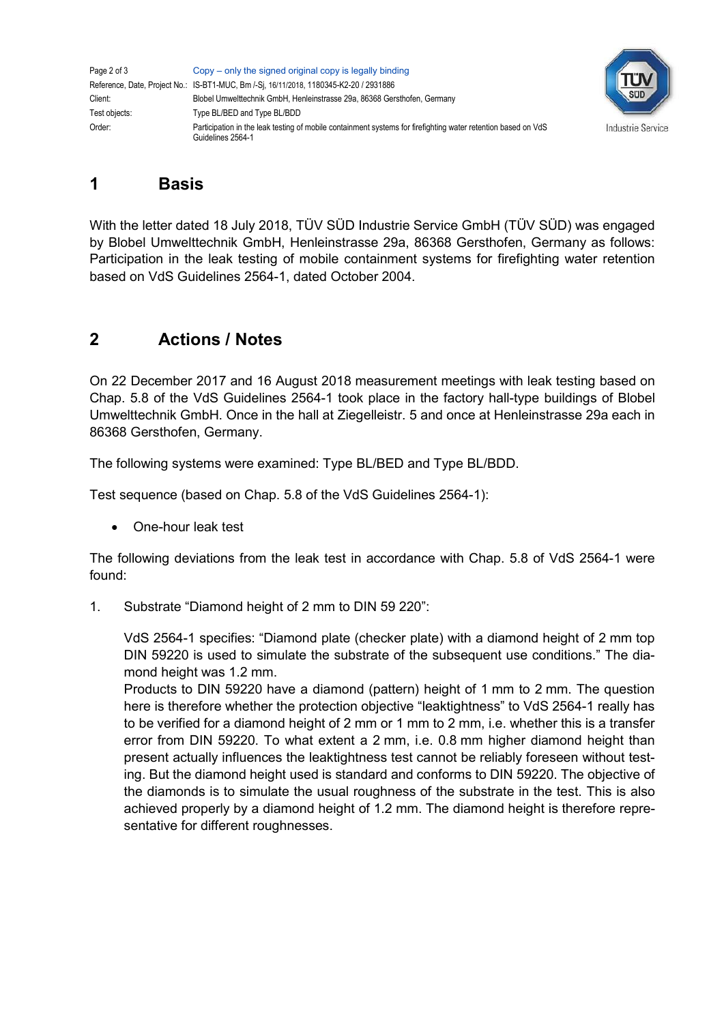| Page 2 of 3   | Copy – only the signed original copy is legally binding                                                                            |
|---------------|------------------------------------------------------------------------------------------------------------------------------------|
|               | Reference, Date, Project No.: IS-BT1-MUC, Bm /-Si, 16/11/2018, 1180345-K2-20 / 2931886                                             |
| Client:       | Blobel Umwelttechnik GmbH, Henleinstrasse 29a, 86368 Gersthofen, Germany                                                           |
| Test objects: | Type BL/BED and Type BL/BDD                                                                                                        |
| Order:        | Participation in the leak testing of mobile containment systems for firefighting water retention based on VdS<br>Guidelines 2564-1 |



## 1 Basis

With the letter dated 18 July 2018, TÜV SÜD Industrie Service GmbH (TÜV SÜD) was engaged by Blobel Umwelttechnik GmbH, Henleinstrasse 29a, 86368 Gersthofen, Germany as follows: Participation in the leak testing of mobile containment systems for firefighting water retention based on VdS Guidelines 2564-1, dated October 2004.

## 2 Actions / Notes

On 22 December 2017 and 16 August 2018 measurement meetings with leak testing based on Chap. 5.8 of the VdS Guidelines 2564-1 took place in the factory hall-type buildings of Blobel Umwelttechnik GmbH. Once in the hall at Ziegelleistr. 5 and once at Henleinstrasse 29a each in 86368 Gersthofen, Germany.

The following systems were examined: Type BL/BED and Type BL/BDD.

Test sequence (based on Chap. 5.8 of the VdS Guidelines 2564-1):

One-hour leak test

The following deviations from the leak test in accordance with Chap. 5.8 of VdS 2564-1 were found:

1. Substrate "Diamond height of 2 mm to DIN 59 220":

VdS 2564-1 specifies: "Diamond plate (checker plate) with a diamond height of 2 mm top DIN 59220 is used to simulate the substrate of the subsequent use conditions." The diamond height was 1.2 mm.

Products to DIN 59220 have a diamond (pattern) height of 1 mm to 2 mm. The question here is therefore whether the protection objective "leaktightness" to VdS 2564-1 really has to be verified for a diamond height of 2 mm or 1 mm to 2 mm, i.e. whether this is a transfer error from DIN 59220. To what extent a 2 mm, i.e. 0.8 mm higher diamond height than present actually influences the leaktightness test cannot be reliably foreseen without testing. But the diamond height used is standard and conforms to DIN 59220. The objective of the diamonds is to simulate the usual roughness of the substrate in the test. This is also achieved properly by a diamond height of 1.2 mm. The diamond height is therefore representative for different roughnesses.